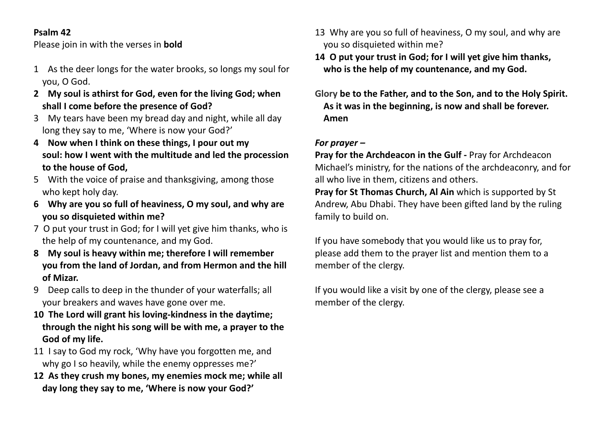# **Psalm 42**

Please join in with the verses in **bold**

- 1 As the deer longs for the water brooks, so longs my soul for you, O God.
- **2 My soul is athirst for God, even for the living God; when shall I come before the presence of God?**
- 3 My tears have been my bread day and night, while all day long they say to me, 'Where is now your God?'
- **4 Now when I think on these things, I pour out my soul: how I went with the multitude and led the procession to the house of God,**
- 5 With the voice of praise and thanksgiving, among those who kept holy day.
- **6 Why are you so full of heaviness, O my soul, and why are you so disquieted within me?**
- 7 O put your trust in God; for I will yet give him thanks, who is the help of my countenance, and my God.
- **8 My soul is heavy within me; therefore I will remember you from the land of Jordan, and from Hermon and the hill of Mizar.**
- 9 Deep calls to deep in the thunder of your waterfalls; all your breakers and waves have gone over me.
- **10 The Lord will grant his loving-kindness in the daytime; through the night his song will be with me, a prayer to the God of my life.**
- 11 I say to God my rock, 'Why have you forgotten me, and why go I so heavily, while the enemy oppresses me?'
- **12 As they crush my bones, my enemies mock me; while all day long they say to me, 'Where is now your God?'**
- 13 Why are you so full of heaviness, O my soul, and why are you so disquieted within me?
- **14 O put your trust in God; for I will yet give him thanks, who is the help of my countenance, and my God.**

**Glory be to the Father, and to the Son, and to the Holy Spirit. As it was in the beginning, is now and shall be forever. Amen**

# *For prayer –*

**Pray for the Archdeacon in the Gulf -** Pray for Archdeacon Michael's ministry, for the nations of the archdeaconry, and for all who live in them, citizens and others.

**Pray for St Thomas Church, Al Ain** which is supported by St Andrew, Abu Dhabi. They have been gifted land by the ruling family to build on.

If you have somebody that you would like us to pray for, please add them to the prayer list and mention them to a member of the clergy.

If you would like a visit by one of the clergy, please see a member of the clergy.